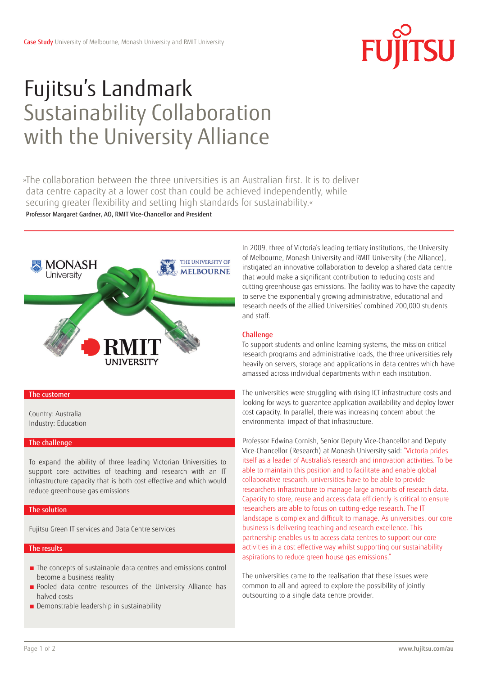

# Fujitsu's Landmark Sustainability Collaboration with the University Alliance

»The collaboration between the three universities is an Australian first. It is to deliver data centre capacity at a lower cost than could be achieved independently, while securing greater flexibility and setting high standards for sustainability.« Professor Margaret Gardner, AO, RMIT Vice-Chancellor and President



# The customer

Country: Australia Industry: Education

# The challenge

To expand the ability of three leading Victorian Universities to support core activities of teaching and research with an IT infrastructure capacity that is both cost effective and which would reduce greenhouse gas emissions

# **The solution**

Fujitsu Green IT services and Data Centre services

# The results

- The concepts of sustainable data centres and emissions control become a business reality
- Pooled data centre resources of the University Alliance has halved costs
- Demonstrable leadership in sustainability

In 2009, three of Victoria's leading tertiary institutions, the University of Melbourne, Monash University and RMIT University (the Alliance), instigated an innovative collaboration to develop a shared data centre that would make a significant contribution to reducing costs and cutting greenhouse gas emissions. The facility was to have the capacity to serve the exponentially growing administrative, educational and research needs of the allied Universities' combined 200,000 students and staff.

# **Challenge**

To support students and online learning systems, the mission critical research programs and administrative loads, the three universities rely heavily on servers, storage and applications in data centres which have amassed across individual departments within each institution.

The universities were struggling with rising ICT infrastructure costs and looking for ways to guarantee application availability and deploy lower cost capacity. In parallel, there was increasing concern about the environmental impact of that infrastructure.

Professor Edwina Cornish, Senior Deputy Vice-Chancellor and Deputy Vice-Chancellor (Research) at Monash University said: "Victoria prides itself as a leader of Australia's research and innovation activities. To be able to maintain this position and to facilitate and enable global collaborative research, universities have to be able to provide researchers infrastructure to manage large amounts of research data. Capacity to store, reuse and access data efficiently is critical to ensure researchers are able to focus on cutting-edge research. The IT landscape is complex and difficult to manage. As universities, our core business is delivering teaching and research excellence. This partnership enables us to access data centres to support our core activities in a cost effective way whilst supporting our sustainability aspirations to reduce green house gas emissions."

The universities came to the realisation that these issues were common to all and agreed to explore the possibility of jointly outsourcing to a single data centre provider.